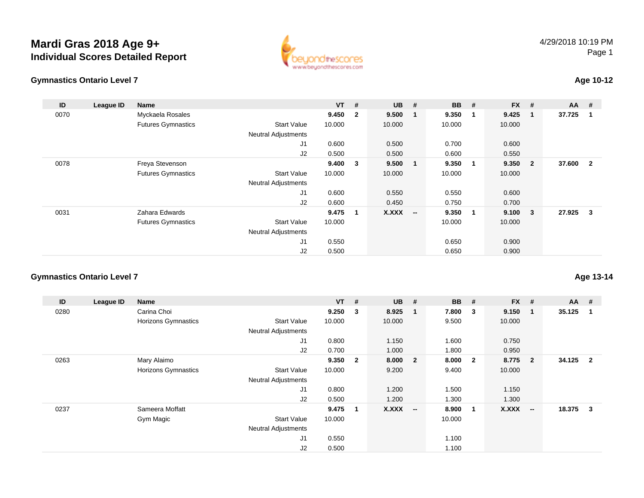# **Mardi Gras 2018 Age 9+Individual Scores Detailed Report**





## **Age 10-12**

| ID   | League ID | <b>Name</b>               |                            | $VT$ # |                | $UB$ #       |                          | <b>BB</b> # |             | $FX$ #       |                         | $AA$ # |                         |
|------|-----------|---------------------------|----------------------------|--------|----------------|--------------|--------------------------|-------------|-------------|--------------|-------------------------|--------|-------------------------|
| 0070 |           | Myckaela Rosales          |                            | 9.450  | $\overline{2}$ | 9.500        | 1                        | 9.350       |             | 9.425        | -1                      | 37.725 | $\overline{\mathbf{1}}$ |
|      |           | <b>Futures Gymnastics</b> | <b>Start Value</b>         | 10.000 |                | 10.000       |                          | 10.000      |             | 10.000       |                         |        |                         |
|      |           |                           | <b>Neutral Adjustments</b> |        |                |              |                          |             |             |              |                         |        |                         |
|      |           |                           | J1                         | 0.600  |                | 0.500        |                          | 0.700       |             | 0.600        |                         |        |                         |
|      |           |                           | J2                         | 0.500  |                | 0.500        |                          | 0.600       |             | 0.550        |                         |        |                         |
| 0078 |           | Freya Stevenson           |                            | 9.400  | 3              | 9.500        | $\mathbf{1}$             | 9.350       | 1           | 9.350        | $\overline{\mathbf{2}}$ | 37.600 | $\overline{\mathbf{2}}$ |
|      |           | <b>Futures Gymnastics</b> | <b>Start Value</b>         | 10.000 |                | 10.000       |                          | 10.000      |             | 10.000       |                         |        |                         |
|      |           |                           | <b>Neutral Adjustments</b> |        |                |              |                          |             |             |              |                         |        |                         |
|      |           |                           | J1                         | 0.600  |                | 0.550        |                          | 0.550       |             | 0.600        |                         |        |                         |
|      |           |                           | J2                         | 0.600  |                | 0.450        |                          | 0.750       |             | 0.700        |                         |        |                         |
| 0031 |           | Zahara Edwards            |                            | 9.475  | 1              | <b>X.XXX</b> | $\overline{\phantom{a}}$ | 9.350       | $\mathbf 1$ | $9.100 \t 3$ |                         | 27.925 | - 3                     |
|      |           | <b>Futures Gymnastics</b> | <b>Start Value</b>         | 10.000 |                |              |                          | 10.000      |             | 10.000       |                         |        |                         |
|      |           |                           | <b>Neutral Adjustments</b> |        |                |              |                          |             |             |              |                         |        |                         |
|      |           |                           | J1                         | 0.550  |                |              |                          | 0.650       |             | 0.900        |                         |        |                         |
|      |           |                           | J2                         | 0.500  |                |              |                          | 0.650       |             | 0.900        |                         |        |                         |

## **Gymnastics Ontario Level 7**

| ID   | League ID | Name                |                            | $VT$ # |                | $UB$ #       |                          | <b>BB</b> | - #                     | <b>FX</b> | - #                      | $AA$ # |                |
|------|-----------|---------------------|----------------------------|--------|----------------|--------------|--------------------------|-----------|-------------------------|-----------|--------------------------|--------|----------------|
| 0280 |           | Carina Choi         |                            | 9.250  | 3              | 8.925        | - 1                      | 7.800     | $\overline{\mathbf{3}}$ | 9.150     | $\mathbf{1}$             | 35.125 |                |
|      |           | Horizons Gymnastics | <b>Start Value</b>         | 10.000 |                | 10.000       |                          | 9.500     |                         | 10.000    |                          |        |                |
|      |           |                     | <b>Neutral Adjustments</b> |        |                |              |                          |           |                         |           |                          |        |                |
|      |           |                     | J1                         | 0.800  |                | 1.150        |                          | 1.600     |                         | 0.750     |                          |        |                |
|      |           |                     | J2                         | 0.700  |                | 1.000        |                          | 1.800     |                         | 0.950     |                          |        |                |
| 0263 |           | Mary Alaimo         |                            | 9.350  | $\overline{2}$ | 8.000        | $\overline{\mathbf{2}}$  | 8.000     | $\overline{\mathbf{2}}$ | 8.775     | $\overline{2}$           | 34.125 | $\overline{2}$ |
|      |           | Horizons Gymnastics | <b>Start Value</b>         | 10.000 |                | 9.200        |                          | 9.400     |                         | 10.000    |                          |        |                |
|      |           |                     | <b>Neutral Adjustments</b> |        |                |              |                          |           |                         |           |                          |        |                |
|      |           |                     | J1                         | 0.800  |                | 1.200        |                          | 1.500     |                         | 1.150     |                          |        |                |
|      |           |                     | J2                         | 0.500  |                | 1.200        |                          | 1.300     |                         | 1.300     |                          |        |                |
| 0237 |           | Sameera Moffatt     |                            | 9.475  | $\overline{1}$ | <b>X.XXX</b> | $\overline{\phantom{a}}$ | 8.900     | $\blacksquare$          | X.XXX     | $\overline{\phantom{a}}$ | 18.375 | $\mathbf{3}$   |
|      |           | Gym Magic           | <b>Start Value</b>         | 10.000 |                |              |                          | 10.000    |                         |           |                          |        |                |
|      |           |                     | <b>Neutral Adjustments</b> |        |                |              |                          |           |                         |           |                          |        |                |
|      |           |                     | J1                         | 0.550  |                |              |                          | 1.100     |                         |           |                          |        |                |
|      |           |                     | J <sub>2</sub>             | 0.500  |                |              |                          | 1.100     |                         |           |                          |        |                |

**Age 13-14**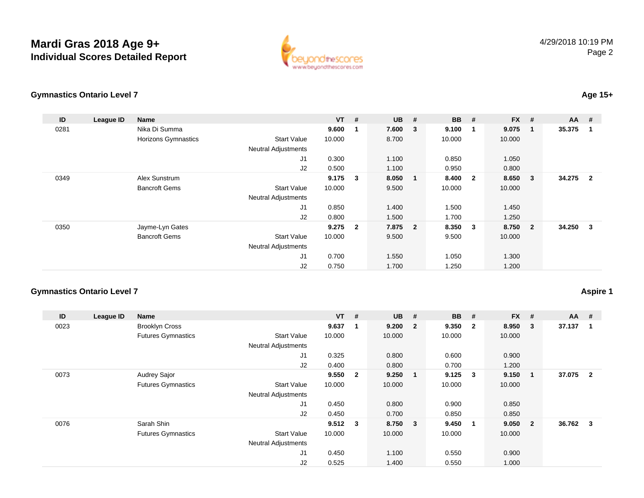## **Mardi Gras 2018 Age 9+Individual Scores Detailed Report**



### **Gymnastics Ontario Level 7**

#### **ID League ID Name VT # UB # BB # FX # AA #** 0281 Nika Di Summa **9.600 <sup>1</sup> 7.600 <sup>3</sup> 9.100 <sup>1</sup> 9.075 <sup>1</sup> 35.375 <sup>1</sup>** Horizons Gymnastics Start Valuee 10.000 8.700 10.000 10.000 Neutral Adjustments J1 0.300 1.100 0.850 1.050 J2 0.500 1.100 0.950 0.800 0349 Alex Sunstrum **9.175 <sup>3</sup> 8.050 <sup>1</sup> 8.400 <sup>2</sup> 8.650 <sup>3</sup> 34.275 <sup>2</sup>** Bancroft Gems Start Valuee 10.000 9.500 10.000 10.000 Neutral Adjustments J1 0.850 1.400 1.500 1.450 J2 0.800 1.500 1.700 1.250 0350 Jayme-Lyn Gates **9.275 <sup>2</sup> 7.875 <sup>2</sup> 8.350 <sup>3</sup> 8.750 <sup>2</sup> 34.250 <sup>3</sup>** Bancroft Gems Start Value 10.000 9.500 9.500 10.000 Neutral Adjustments J1 0.700 1.550 1.050 1.300 J20.750 1.700 1.250 1.200

## **Gymnastics Ontario Level 7**

## **Aspire 1**

| ID   | League ID | Name                      |                            | $VT$ #      |                | <b>UB</b> | #                       | <b>BB</b> | #                       | <b>FX</b> | #              | $AA$ # |                |
|------|-----------|---------------------------|----------------------------|-------------|----------------|-----------|-------------------------|-----------|-------------------------|-----------|----------------|--------|----------------|
| 0023 |           | <b>Brooklyn Cross</b>     |                            | 9.637       | -1             | 9.200     | $\overline{\mathbf{2}}$ | 9.350     | $\overline{\mathbf{2}}$ | 8.950     | 3              | 37.137 | 1              |
|      |           | <b>Futures Gymnastics</b> | <b>Start Value</b>         | 10.000      |                | 10.000    |                         | 10.000    |                         | 10.000    |                |        |                |
|      |           |                           | <b>Neutral Adjustments</b> |             |                |           |                         |           |                         |           |                |        |                |
|      |           |                           | J <sub>1</sub>             | 0.325       |                | 0.800     |                         | 0.600     |                         | 0.900     |                |        |                |
|      |           |                           | J2                         | 0.400       |                | 0.800     |                         | 0.700     |                         | 1.200     |                |        |                |
| 0073 |           | Audrey Sajor              |                            | 9.550       | $\overline{2}$ | 9.250     | $\blacksquare$          | 9.125     | $\overline{\mathbf{3}}$ | 9.150     | -1             | 37.075 | $\overline{2}$ |
|      |           | <b>Futures Gymnastics</b> | <b>Start Value</b>         | 10.000      |                | 10.000    |                         | 10.000    |                         | 10.000    |                |        |                |
|      |           |                           | <b>Neutral Adjustments</b> |             |                |           |                         |           |                         |           |                |        |                |
|      |           |                           | J <sub>1</sub>             | 0.450       |                | 0.800     |                         | 0.900     |                         | 0.850     |                |        |                |
|      |           |                           | J2                         | 0.450       |                | 0.700     |                         | 0.850     |                         | 0.850     |                |        |                |
| 0076 |           | Sarah Shin                |                            | $9.512 \t3$ |                | 8.750 3   |                         | 9.450     | $\overline{\mathbf{1}}$ | 9.050     | $\overline{2}$ | 36.762 | $\mathbf{3}$   |
|      |           | <b>Futures Gymnastics</b> | <b>Start Value</b>         | 10.000      |                | 10.000    |                         | 10.000    |                         | 10.000    |                |        |                |
|      |           |                           | <b>Neutral Adjustments</b> |             |                |           |                         |           |                         |           |                |        |                |
|      |           |                           | J1                         | 0.450       |                | 1.100     |                         | 0.550     |                         | 0.900     |                |        |                |
|      |           |                           | J <sub>2</sub>             | 0.525       |                | 1.400     |                         | 0.550     |                         | 1.000     |                |        |                |

## **Age 15+**